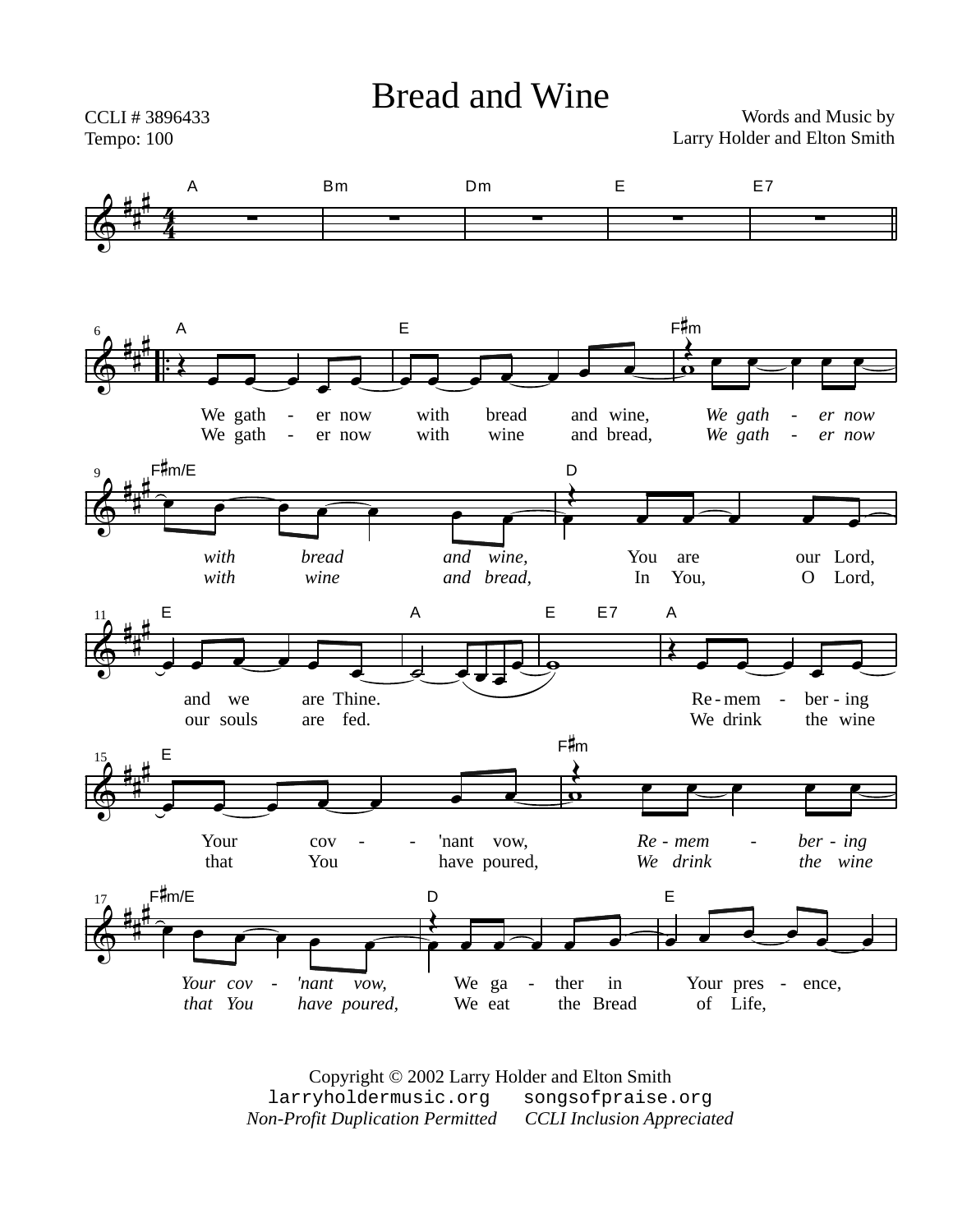

Copyright © 2002 Larry Holder and Elton Smith larryholdermusic.org songsofpraise.org *Non-Profit Duplication Permitted CCLI Inclusion Appreciated*